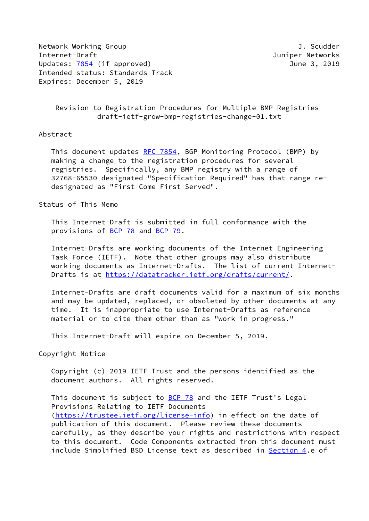Network Working Group **J. Scudder** Internet-Draft Juniper Networks Updates: [7854](https://datatracker.ietf.org/doc/pdf/rfc7854) (if approved) 3, 2019 Intended status: Standards Track Expires: December 5, 2019

 Revision to Registration Procedures for Multiple BMP Registries draft-ietf-grow-bmp-registries-change-01.txt

## Abstract

This document updates [RFC 7854](https://datatracker.ietf.org/doc/pdf/rfc7854), BGP Monitoring Protocol (BMP) by making a change to the registration procedures for several registries. Specifically, any BMP registry with a range of 32768-65530 designated "Specification Required" has that range re designated as "First Come First Served".

## Status of This Memo

 This Internet-Draft is submitted in full conformance with the provisions of [BCP 78](https://datatracker.ietf.org/doc/pdf/bcp78) and [BCP 79](https://datatracker.ietf.org/doc/pdf/bcp79).

 Internet-Drafts are working documents of the Internet Engineering Task Force (IETF). Note that other groups may also distribute working documents as Internet-Drafts. The list of current Internet- Drafts is at<https://datatracker.ietf.org/drafts/current/>.

 Internet-Drafts are draft documents valid for a maximum of six months and may be updated, replaced, or obsoleted by other documents at any time. It is inappropriate to use Internet-Drafts as reference material or to cite them other than as "work in progress."

This Internet-Draft will expire on December 5, 2019.

## Copyright Notice

 Copyright (c) 2019 IETF Trust and the persons identified as the document authors. All rights reserved.

This document is subject to **[BCP 78](https://datatracker.ietf.org/doc/pdf/bcp78)** and the IETF Trust's Legal Provisions Relating to IETF Documents [\(https://trustee.ietf.org/license-info](https://trustee.ietf.org/license-info)) in effect on the date of publication of this document. Please review these documents carefully, as they describe your rights and restrictions with respect to this document. Code Components extracted from this document must include Simplified BSD License text as described in [Section 4.](#page-2-0)e of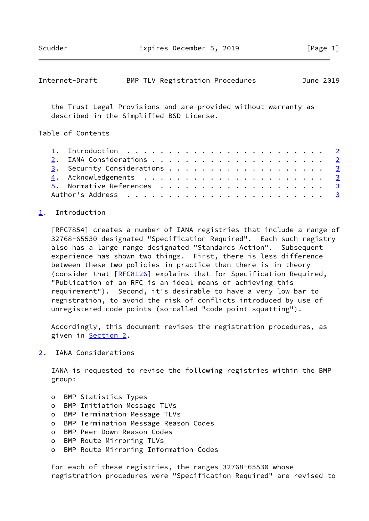<span id="page-1-1"></span>

| Internet-Draft |  | BMP TLV Registration Procedures |  | June 2019 |  |
|----------------|--|---------------------------------|--|-----------|--|
|----------------|--|---------------------------------|--|-----------|--|

 the Trust Legal Provisions and are provided without warranty as described in the Simplified BSD License.

Table of Contents

|  | 1. Introduction $\ldots \ldots \ldots \ldots \ldots \ldots \ldots \ldots \ldots$ |  |  |  |  |  |  |  |  |  |  |
|--|----------------------------------------------------------------------------------|--|--|--|--|--|--|--|--|--|--|
|  |                                                                                  |  |  |  |  |  |  |  |  |  |  |
|  |                                                                                  |  |  |  |  |  |  |  |  |  |  |
|  |                                                                                  |  |  |  |  |  |  |  |  |  |  |
|  |                                                                                  |  |  |  |  |  |  |  |  |  |  |
|  |                                                                                  |  |  |  |  |  |  |  |  |  |  |

## <span id="page-1-0"></span>[1](#page-1-0). Introduction

 [RFC7854] creates a number of IANA registries that include a range of 32768-65530 designated "Specification Required". Each such registry also has a large range designated "Standards Action". Subsequent experience has shown two things. First, there is less difference between these two policies in practice than there is in theory (consider that [\[RFC8126](https://datatracker.ietf.org/doc/pdf/rfc8126)] explains that for Specification Required, "Publication of an RFC is an ideal means of achieving this requirement"). Second, it's desirable to have a very low bar to registration, to avoid the risk of conflicts introduced by use of unregistered code points (so-called "code point squatting").

 Accordingly, this document revises the registration procedures, as given in [Section 2](#page-1-2).

<span id="page-1-2"></span>[2](#page-1-2). IANA Considerations

 IANA is requested to revise the following registries within the BMP group:

- o BMP Statistics Types
- o BMP Initiation Message TLVs
- o BMP Termination Message TLVs
- o BMP Termination Message Reason Codes
- o BMP Peer Down Reason Codes
- o BMP Route Mirroring TLVs
- o BMP Route Mirroring Information Codes

 For each of these registries, the ranges 32768-65530 whose registration procedures were "Specification Required" are revised to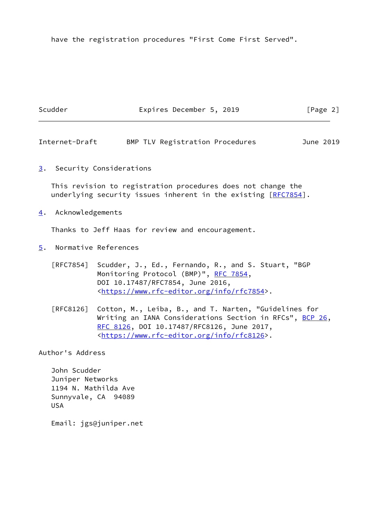have the registration procedures "First Come First Served".

<span id="page-2-3"></span><span id="page-2-2"></span><span id="page-2-1"></span><span id="page-2-0"></span>

|                  | Scudder                                                                                 | Expires December 5, 2019                                                                                                                                                                                                       | [Page 2]  |
|------------------|-----------------------------------------------------------------------------------------|--------------------------------------------------------------------------------------------------------------------------------------------------------------------------------------------------------------------------------|-----------|
|                  | Internet-Draft                                                                          | BMP TLV Registration Procedures                                                                                                                                                                                                | June 2019 |
| 3.               |                                                                                         | Security Considerations                                                                                                                                                                                                        |           |
|                  |                                                                                         | This revision to registration procedures does not change the<br>underlying security issues inherent in the existing [RFC7854].                                                                                                 |           |
| $\overline{4}$ . | Acknowledgements                                                                        |                                                                                                                                                                                                                                |           |
|                  |                                                                                         | Thanks to Jeff Haas for review and encouragement.                                                                                                                                                                              |           |
| $\overline{5}$ . |                                                                                         | Normative References                                                                                                                                                                                                           |           |
|                  |                                                                                         | [RFC7854] Scudder, J., Ed., Fernando, R., and S. Stuart, "BGP<br>Monitoring Protocol (BMP)", RFC 7854,<br>DOI 10.17487/RFC7854, June 2016,<br><https: info="" rfc7854="" www.rfc-editor.org="">.</https:>                      |           |
|                  | [RFC8126]                                                                               | Cotton, M., Leiba, B., and T. Narten, "Guidelines for<br>Writing an IANA Considerations Section in RFCs", BCP 26,<br>RFC 8126, DOI 10.17487/RFC8126, June 2017,<br><https: info="" rfc8126="" www.rfc-editor.org="">.</https:> |           |
|                  | Author's Address                                                                        |                                                                                                                                                                                                                                |           |
|                  | John Scudder<br>Juniper Networks<br>1194 N. Mathilda Ave<br>Sunnyvale, CA<br><b>USA</b> | 94089                                                                                                                                                                                                                          |           |
|                  |                                                                                         | Email: jgs@juniper.net                                                                                                                                                                                                         |           |